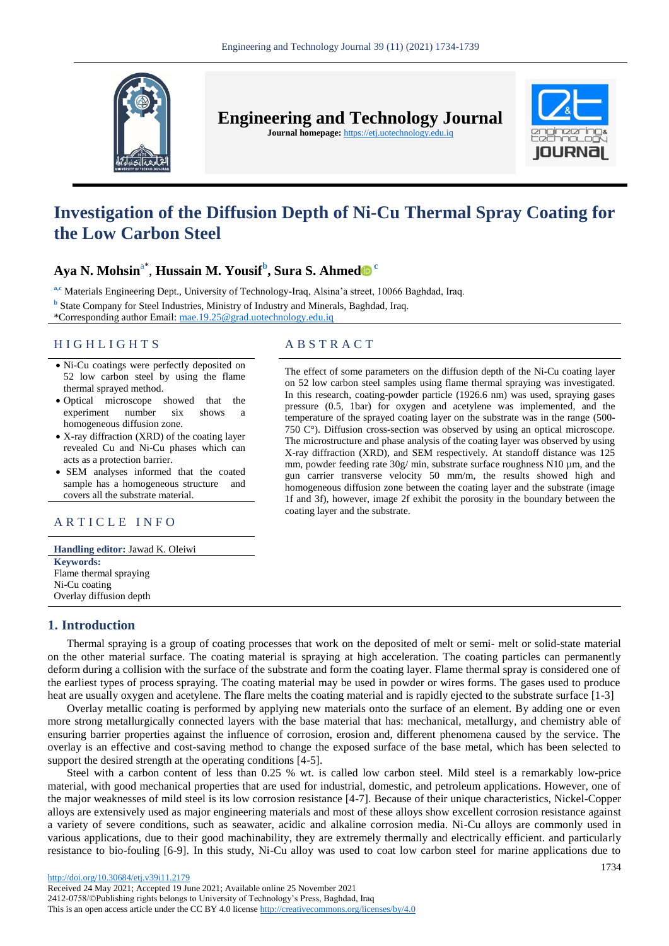

**Engineering and Technology Journal** 

**Journal homepage:** https://etj.uotechnology.edu.iq



# **Investigation of the Diffusion Depth of Ni-Cu Thermal Spray Coating for the Low Carbon Steel**

# **Aya N. Mohsin**a\* , **Hussain M. Yousif<sup>b</sup> , Sura S. Ahmed <sup>c</sup>**

**a,c** Materials Engineering Dept., University of Technology-Iraq, Alsina'a street, 10066 Baghdad, Iraq.

**b** State Company for Steel Industries, Ministry of Industry and Minerals, Baghdad, Iraq.

\*Corresponding author Email: [mae.19.25@grad.uotechnology.edu.iq](file:///C:/Users/dell/Downloads/mae.19.25@grad.uotechnology.edu.iq)

# H I G H L I G H T S A B S T R A C T

- Ni-Cu coatings were perfectly deposited on 52 low carbon steel by using the flame thermal sprayed method.
- Optical microscope showed that the experiment number six shows a homogeneous diffusion zone.
- X-ray diffraction (XRD) of the coating layer revealed Cu and Ni-Cu phases which can acts as a protection barrier.
- SEM analyses informed that the coated sample has a homogeneous structure and covers all the substrate material.

# ARTICLE INFO

**Handling editor:** Jawad K. Oleiwi **Keywords:** Flame thermal spraying Ni-Cu coating Overlay diffusion depth

The effect of some parameters on the diffusion depth of the Ni-Cu coating layer on 52 low carbon steel samples using flame thermal spraying was investigated. In this research, coating-powder particle (1926.6 nm) was used, spraying gases pressure (0.5, 1bar) for oxygen and acetylene was implemented, and the temperature of the sprayed coating layer on the substrate was in the range (500- 750 C°). Diffusion cross-section was observed by using an optical microscope. The microstructure and phase analysis of the coating layer was observed by using X-ray diffraction (XRD), and SEM respectively. At standoff distance was 125 mm, powder feeding rate 30g/ min, substrate surface roughness N10 µm, and the gun carrier transverse velocity 50 mm/m, the results showed high and homogeneous diffusion zone between the coating layer and the substrate (image 1f and 3f), however, image 2f exhibit the porosity in the boundary between the coating layer and the substrate.

## **1. Introduction**

Thermal spraying is a group of coating processes that work on the deposited of melt or semi- melt or solid-state material on the other material surface. The coating material is spraying at high acceleration. The coating particles can permanently deform during a collision with the surface of the substrate and form the coating layer. Flame thermal spray is considered one of the earliest types of process spraying. The coating material may be used in powder or wires forms. The gases used to produce heat are usually oxygen and acetylene. The flare melts the coating material and is rapidly ejected to the substrate surface [1-3]

Overlay metallic coating is performed by applying new materials onto the surface of an element. By adding one or even more strong metallurgically connected layers with the base material that has: mechanical, metallurgy, and chemistry able of ensuring barrier properties against the influence of corrosion, erosion and, different phenomena caused by the service. The overlay is an effective and cost-saving method to change the exposed surface of the base metal, which has been selected to support the desired strength at the operating conditions [4-5].

Steel with a carbon content of less than 0.25 % wt. is called low carbon steel. Mild steel is a remarkably low-price material, with good mechanical properties that are used for industrial, domestic, and petroleum applications. However, one of the major weaknesses of mild steel is its low corrosion resistance [4-7]. Because of their unique characteristics, Nickel-Copper alloys are extensively used as major engineering materials and most of these alloys show excellent corrosion resistance against a variety of severe conditions, such as seawater, acidic and alkaline corrosion media. Ni-Cu alloys are commonly used in various applications, due to their good machinability, they are extremely thermally and electrically efficient. and particularly resistance to bio-fouling [6-9]. In this study, Ni-Cu alloy was used to coat low carbon steel for marine applications due to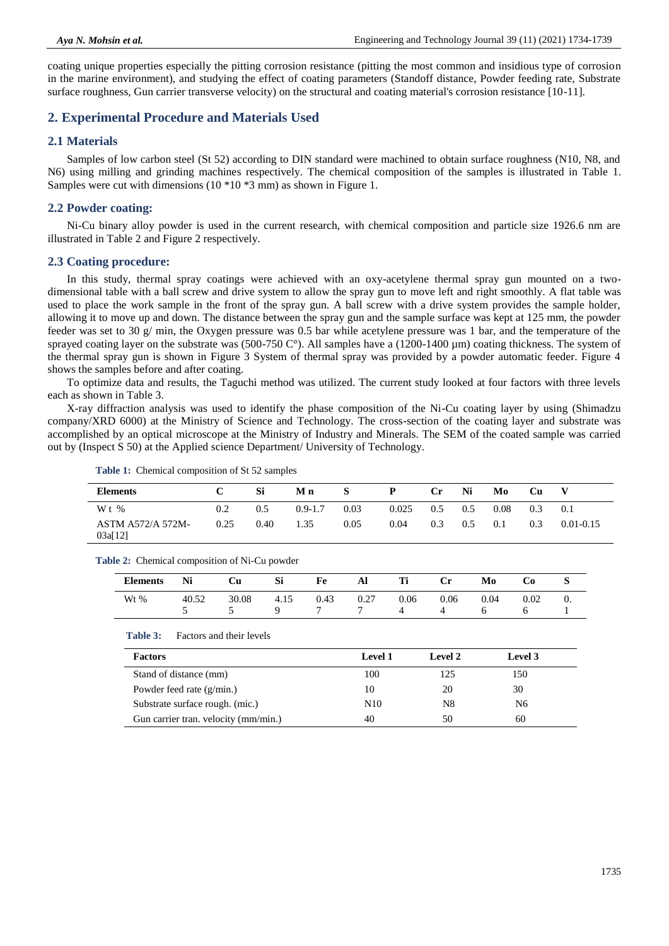coating unique properties especially the pitting corrosion resistance (pitting the most common and insidious type of corrosion in the marine environment), and studying the effect of coating parameters (Standoff distance, Powder feeding rate, Substrate surface roughness, Gun carrier transverse velocity) on the structural and coating material's corrosion resistance [10-11].

# **2. Experimental Procedure and Materials Used**

### **2.1 Materials**

Samples of low carbon steel (St 52) according to DIN standard were machined to obtain surface roughness (N10, N8, and N6) using milling and grinding machines respectively. The chemical composition of the samples is illustrated in Table 1. Samples were cut with dimensions (10 \*10 \*3 mm) as shown in Figure 1.

## **2.2 Powder coating:**

Ni-Cu binary alloy powder is used in the current research, with chemical composition and particle size 1926.6 nm are illustrated in Table 2 and Figure 2 respectively.

#### **2.3 Coating procedure:**

In this study, thermal spray coatings were achieved with an oxy-acetylene thermal spray gun mounted on a twodimensional table with a ball screw and drive system to allow the spray gun to move left and right smoothly. A flat table was used to place the work sample in the front of the spray gun. A ball screw with a drive system provides the sample holder, allowing it to move up and down. The distance between the spray gun and the sample surface was kept at 125 mm, the powder feeder was set to 30 g/ min, the Oxygen pressure was 0.5 bar while acetylene pressure was 1 bar, and the temperature of the sprayed coating layer on the substrate was (500-750  $\degree$ ). All samples have a (1200-1400 µm) coating thickness. The system of the thermal spray gun is shown in Figure 3 System of thermal spray was provided by a powder automatic feeder. Figure 4 shows the samples before and after coating.

To optimize data and results, the Taguchi method was utilized. The current study looked at four factors with three levels each as shown in Table 3.

X-ray diffraction analysis was used to identify the phase composition of the Ni-Cu coating layer by using (Shimadzu company/XRD 6000) at the Ministry of Science and Technology. The cross-section of the coating layer and substrate was accomplished by an optical microscope at the Ministry of Industry and Minerals. The SEM of the coated sample was carried out by (Inspect S 50) at the Applied science Department/ University of Technology.

**Table 1:** Chemical composition of St 52 samples

| <b>Elements</b>                     |      | Si   | Мn          | S    | P     | <b>Cr</b> | Ni  | Mo   | Cu  |               |
|-------------------------------------|------|------|-------------|------|-------|-----------|-----|------|-----|---------------|
| W t $%$                             | 0.2  | 0.5  | $0.9 - 1.7$ | 0.03 | 0.025 | 0.5       | 0.5 | 0.08 | 0.3 | 0.1           |
| <b>ASTM A572/A 572M-</b><br>03a[12] | 0.25 | 0.40 | 1.35        | 0.05 | 0.04  | 0.3       | 0.5 | 0.1  | 0.3 | $0.01 - 0.15$ |

#### **Table 2:** Chemical composition of Ni-Cu powder

| Elements | Ni    | <b>Cu</b>         | - Si                 | Fe          | Al   | Ti               | <b>Cr</b>               | Mo        | Co.              |  |
|----------|-------|-------------------|----------------------|-------------|------|------------------|-------------------------|-----------|------------------|--|
| $Wt\%$   | 40.52 | 30.08<br>$\sim$ 5 | 4.15<br>$\mathbf{Q}$ | 0.43<br>7 7 | 0.27 | 0.06<br>$\sim$ 4 | 0.06<br>$4\overline{4}$ | 0.04<br>6 | 0.02<br>$\sigma$ |  |

#### **Table 3:** Factors and their levels

| <b>Factors</b>                       | Level 1         | Level 2 | Level 3 |  |
|--------------------------------------|-----------------|---------|---------|--|
| Stand of distance (mm)               | 100             | 125     | 150     |  |
| Powder feed rate $(g/min.)$          | 10              | 20      | 30      |  |
| Substrate surface rough. (mic.)      | N <sub>10</sub> | N8      | N6      |  |
| Gun carrier tran. velocity (mm/min.) | 40              | 50      | 60      |  |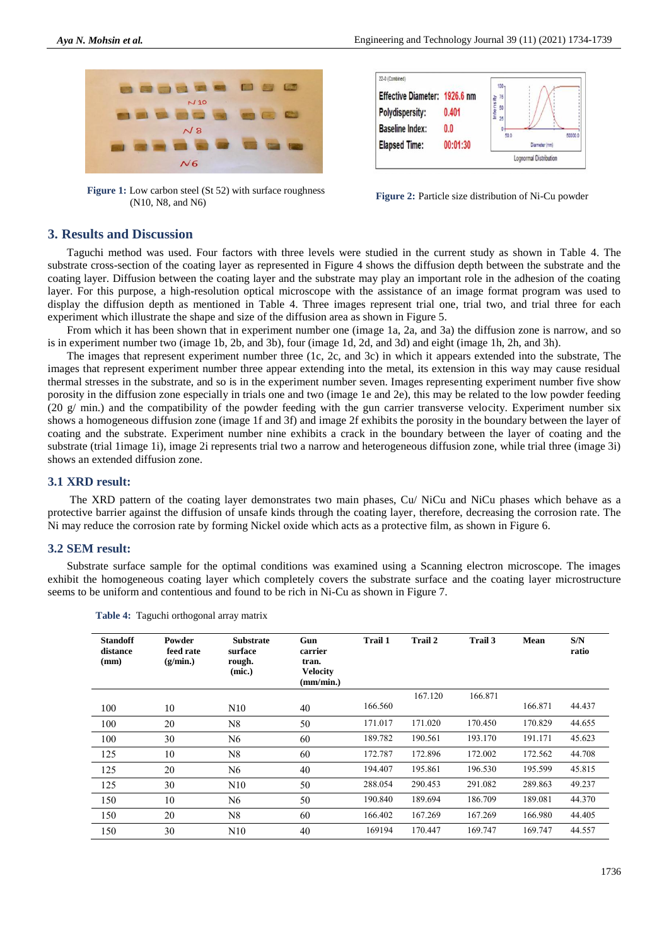

**Figure 1:** Low carbon steel (St 52) with surface roughness (N10, N8, and N6) **Figure 2:** Particle size distribution of Ni-Cu powder

| <b>Elapsed Time:</b>          | 00:01:30 | Diameter (nm)<br>Lognormal Distribution |        |  |  |
|-------------------------------|----------|-----------------------------------------|--------|--|--|
|                               |          | 50.0                                    | 500001 |  |  |
| <b>Baseline Index:</b>        | 0.0      |                                         |        |  |  |
| Polydispersity:               | 0.401    | ntensity<br>50<br>25                    |        |  |  |
| Effective Diameter: 1926.6 nm |          | 75                                      |        |  |  |
| 22-0 (Combined)               |          | 100 <sub>1</sub>                        |        |  |  |

### **3. Results and Discussion**

Taguchi method was used. Four factors with three levels were studied in the current study as shown in Table 4. The substrate cross-section of the coating layer as represented in Figure 4 shows the diffusion depth between the substrate and the coating layer. Diffusion between the coating layer and the substrate may play an important role in the adhesion of the coating layer. For this purpose, a high-resolution optical microscope with the assistance of an image format program was used to display the diffusion depth as mentioned in Table 4. Three images represent trial one, trial two, and trial three for each experiment which illustrate the shape and size of the diffusion area as shown in Figure 5.

From which it has been shown that in experiment number one (image 1a, 2a, and 3a) the diffusion zone is narrow, and so is in experiment number two (image 1b, 2b, and 3b), four (image 1d, 2d, and 3d) and eight (image 1h, 2h, and 3h).

The images that represent experiment number three (1c, 2c, and 3c) in which it appears extended into the substrate, The images that represent experiment number three appear extending into the metal, its extension in this way may cause residual thermal stresses in the substrate, and so is in the experiment number seven. Images representing experiment number five show porosity in the diffusion zone especially in trials one and two (image 1e and 2e), this may be related to the low powder feeding (20  $g$ / min.) and the compatibility of the powder feeding with the gun carrier transverse velocity. Experiment number six shows a homogeneous diffusion zone (image 1f and 3f) and image 2f exhibits the porosity in the boundary between the layer of coating and the substrate. Experiment number nine exhibits a crack in the boundary between the layer of coating and the substrate (trial 1image 1i), image 2i represents trial two a narrow and heterogeneous diffusion zone, while trial three (image 3i) shows an extended diffusion zone.

#### **3.1 XRD result:**

The XRD pattern of the coating layer demonstrates two main phases, Cu/ NiCu and NiCu phases which behave as a protective barrier against the diffusion of unsafe kinds through the coating layer, therefore, decreasing the corrosion rate. The Ni may reduce the corrosion rate by forming Nickel oxide which acts as a protective film, as shown in Figure 6.

#### **3.2 SEM result:**

Substrate surface sample for the optimal conditions was examined using a Scanning electron microscope. The images exhibit the homogeneous coating layer which completely covers the substrate surface and the coating layer microstructure seems to be uniform and contentious and found to be rich in Ni-Cu as shown in Figure 7.

| <b>Standoff</b><br>distance<br>(mm) | Powder<br>feed rate<br>(g/min.) | <b>Substrate</b><br>surface<br>rough.<br>(mic.) | Gun<br>carrier<br>tran.<br><b>Velocity</b><br>(mm/min.) | <b>Trail 1</b> | Trail 2 | Trail 3 | Mean    | S/N<br>ratio |
|-------------------------------------|---------------------------------|-------------------------------------------------|---------------------------------------------------------|----------------|---------|---------|---------|--------------|
|                                     |                                 |                                                 |                                                         |                | 167.120 | 166.871 |         |              |
| 100                                 | 10                              | N10                                             | 40                                                      | 166.560        |         |         | 166.871 | 44.437       |
| 100                                 | 20                              | N8                                              | 50                                                      | 171.017        | 171.020 | 170.450 | 170.829 | 44.655       |
| 100                                 | 30                              | N <sub>6</sub>                                  | 60                                                      | 189.782        | 190.561 | 193.170 | 191.171 | 45.623       |
| 125                                 | 10                              | N8                                              | 60                                                      | 172.787        | 172.896 | 172.002 | 172.562 | 44.708       |
| 125                                 | 20                              | N6                                              | 40                                                      | 194.407        | 195.861 | 196.530 | 195.599 | 45.815       |
| 125                                 | 30                              | N10                                             | 50                                                      | 288.054        | 290.453 | 291.082 | 289.863 | 49.237       |
| 150                                 | 10                              | N6                                              | 50                                                      | 190.840        | 189.694 | 186.709 | 189.081 | 44.370       |
| 150                                 | 20                              | N8                                              | 60                                                      | 166.402        | 167.269 | 167.269 | 166.980 | 44.405       |
| 150                                 | 30                              | N10                                             | 40                                                      | 169194         | 170.447 | 169.747 | 169.747 | 44.557       |

**Table 4:** Taguchi orthogonal array matrix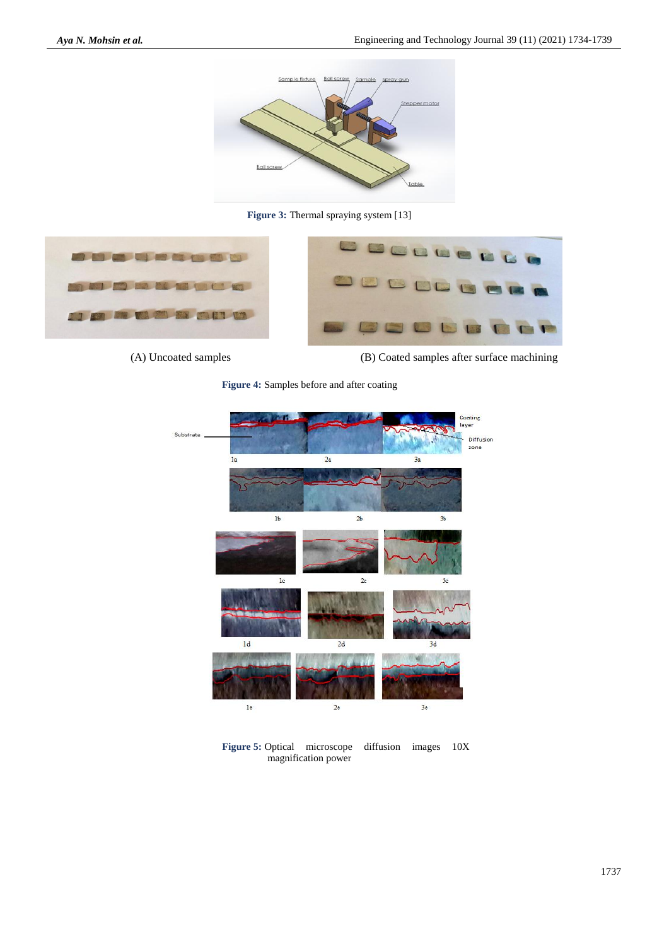

**Figure 3:** Thermal spraying system [13]





(A) Uncoated samples (B) Coated samples after surface machining





**Figure 5:** Optical microscope diffusion images 10X magnification power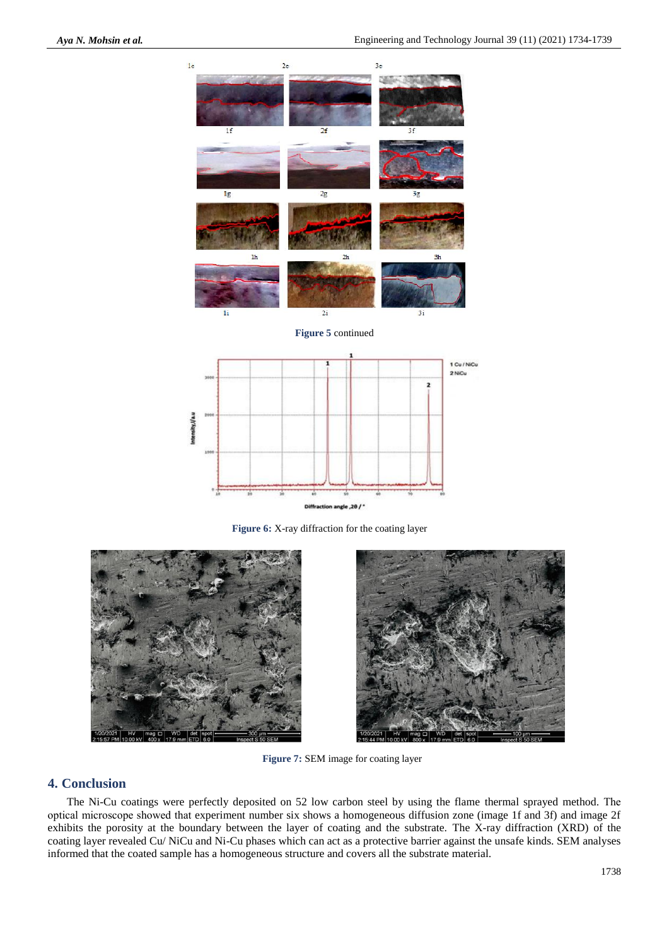



**Figure 6:** X-ray diffraction for the coating layer





**Figure 7:** SEM image for coating layer

# **4. Conclusion**

The Ni-Cu coatings were perfectly deposited on 52 low carbon steel by using the flame thermal sprayed method. The optical microscope showed that experiment number six shows a homogeneous diffusion zone (image 1f and 3f) and image 2f exhibits the porosity at the boundary between the layer of coating and the substrate. The X-ray diffraction (XRD) of the coating layer revealed Cu/ NiCu and Ni-Cu phases which can act as a protective barrier against the unsafe kinds. SEM analyses informed that the coated sample has a homogeneous structure and covers all the substrate material.